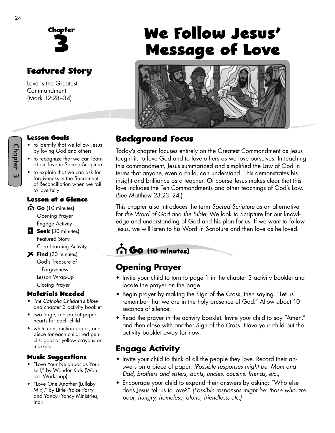

# **Featured Story**

Love Is the Greatest Commandment (Mark 12:28–34)

#### **Lesson Goals**

- to identify that we follow Jesus by loving God and others
- to recognize that we can learn about love in Sacred Scripture
- to explain that we can ask for forgiveness in the Sacrament of Reconciliation when we fail to love fully

#### **Lesson at a Glance**

- **Go** (10 minutes) Opening Prayer
- Engage Activity **B** Seek (30 minutes)
	- Featured Story Core Learning Activity
- **Find** (20 minutes) God's Treasure of Forgiveness Lesson Wrap-Up Closing Prayer

#### **Materials Needed**

- *The Catholic Children's Bible* and chapter 3 activity booklet
- two large, red precut paper hearts for each child
- white construction paper, one piece for each child; red pencils; gold or yellow crayons or markers

#### **Music Su�gestions**

- "Love Your Neighbor as Yourself," by Wonder Kids (Wonder Workshop)
- "Love One Another (Lullaby Mix)," by Little Praise Party and Yancy (Yancy Ministries, Inc.)

# We Follow Jesus' **Message of Love**



### **Background Focus**

Today's chapter focuses entirely on the Greatest Commandment as Jesus taught it: to love God and to love others as we love ourselves. In teaching this commandment, Jesus summarized and simplified the Law of God in terms that anyone, even a child, can understand. This demonstrates his insight and brilliance as a teacher. Of course Jesus makes clear that this love includes the Ten Commandments and other teachings of God's Law. (See Matthew 23:23–24.)

This chapter also introduces the term *Sacred Scripture* as an alternative for *the Word of God* and *the Bible.* We look to Scripture for our knowledge and understanding of God and his plan for us. If we want to follow Jesus, we will listen to his Word in Scripture and then love as he loved.

# **Go (10 minutes)**

# **Opening Prayer**

- Invite your child to turn to page 1 in the chapter 3 activity booklet and locate the prayer on the page.
- Begin prayer by making the Sign of the Cross, then saying, "Let us remember that we are in the holy presence of God." Allow about 10 seconds of silence.
- Read the prayer in the activity booklet. Invite your child to say "Amen," and then close with another Sign of the Cross. Have your child put the activity booklet away for now.

### **Engage Activity**

- Invite your child to think of all the people they love. Record their answers on a piece of paper. *(Possible responses might be: Mom and Dad, brothers and sisters, aunts, uncles, cousins, friends, etc.)*
- Encourage your child to expand their answers by asking: "Who else does Jesus tell us to love?" *(Possible responses might be: those who are poor, hungry, homeless, alone, friendless, etc.)*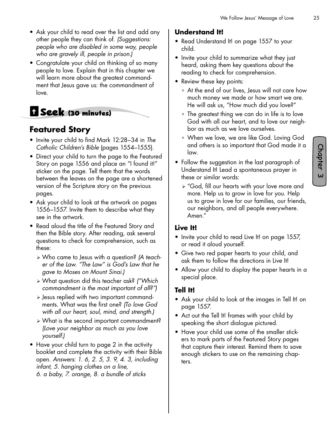- Ask your child to read over the list and add any other people they can think of. *(Suggestions: people who are disabled in some way, people who are gravely ill, people in prison.)*
- Congratulate your child on thinking of so many people to love. Explain that in this chapter we will learn more about the greatest commandment that Jesus gave us: the commandment of love.

# **Seek (30 minutes)**

### **Featured Story**

- Invite your child to find Mark 12:28–34 in *The Catholic Children's Bible* (pages 1554–1555).
- Direct your child to turn the page to the Featured Story on page 1556 and place an "I found it!" sticker on the page. Tell them that the words between the leaves on the page are a shortened version of the Scripture story on the previous pages.
- Ask your child to look at the artwork on pages 1556–1557. Invite them to describe what they see in the artwork.
- Read aloud the title of the Featured Story and then the Bible story. After reading, ask several questions to check for comprehension, such as these:
	- ¾ Who came to Jesus with a question? *(A teacher of the Law. "The Law" is God's Law that he gave to Moses on Mount Sinai.)*
	- ¾ What question did this teacher ask? *("Which commandment is the most important of all?")*
	- ¾ Jesus replied with two important commandments. What was the first one? *(To love God with all our heart, soul, mind, and strength.)*
	- ¾ What is the second important commandment? *(Love your neighbor as much as you love yourself.)*
- Have your child turn to page 2 in the activity booklet and complete the activity with their Bible open. *Answers: 1. 6, 2. 5, 3. 9, 4. 3, including infant, 5. hanging clothes on a line, 6. a baby, 7. orange, 8. a bundle of sticks*

#### **Understand It!**

- Read Understand It! on page 1557 to your child.
- Invite your child to summarize what they just heard, asking them key questions about the reading to check for comprehension.
- Review these key points:
	- ° At the end of our lives, Jesus will not care how much money we made or how smart we are. He will ask us, "How much did you love?"
	- ° The greatest thing we can do in life is to love God with all our heart, and to love our neighbor as much as we love ourselves.
	- ° When we love, we are like God. Loving God and others is so important that God made it a law.
- Follow the suggestion in the last paragraph of Understand It! Lead a spontaneous prayer in these or similar words:
	- ¾ "God, fill our hearts with your love more and more. Help us to grow in love for you. Help us to grow in love for our families, our friends, our neighbors, and all people everywhere. Amen."

#### **Live It!**

- Invite your child to read Live It! on page 1557, or read it aloud yourself.
- Give two red paper hearts to your child, and ask them to follow the directions in Live It!
- Allow your child to display the paper hearts in a special place.

#### **Tell It!**

- Ask your child to look at the images in Tell It! on page 1557.
- Act out the Tell It! frames with your child by speaking the short dialogue pictured.
- Have your child use some of the smaller stickers to mark parts of the Featured Story pages that capture their interest. Remind them to save enough stickers to use on the remaining chapters.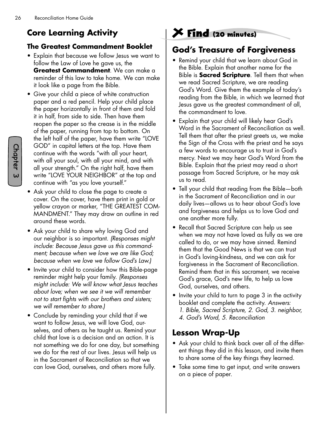# **Core Learning Activity**

#### **The Greatest Commandment Booklet**

- Explain that because we follow Jesus we want to follow the Law of Love he gave us, the **Greatest Commandment**. We can make a reminder of this law to take home. We can make it look like a page from the Bible.
- Give your child a piece of white construction paper and a red pencil. Help your child place the paper horizontally in front of them and fold it in half, from side to side. Then have them reopen the paper so the crease is in the middle of the paper, running from top to bottom. On the left half of the paper, have them write "LOVE GOD" in capital letters at the top. Have them continue with the words "with all your heart, with all your soul, with all your mind, and with all your strength." On the right half, have them write "LOVE YOUR NEIGHBOR" at the top and continue with "as you love yourself."
- Ask your child to close the page to create a cover. On the cover, have them print in gold or yellow crayon or marker, "THE GREATEST COM-MANDMENT." They may draw an outline in red around these words.
- Ask your child to share why loving God and our neighbor is so important. *(Responses might include: Because Jesus gave us this commandment; because when we love we are like God; because when we love we follow God's Law.)*
- Invite your child to consider how this Bible-page reminder might help your family. *(Responses might include: We will know what Jesus teaches about love; when we see it we will remember not to start fights with our brothers and sisters; we will remember to share.)*
- Conclude by reminding your child that if we want to follow Jesus, we will love God, ourselves, and others as he taught us. Remind your child that love is a decision and an action. It is not something we do for one day, but something we do for the rest of our lives. Jesus will help us in the Sacrament of Reconciliation so that we can love God, ourselves, and others more fully.

# **Find (20 minutes)**

## **God's Treasure of Forgiveness**

- Remind your child that we learn about God in the Bible. Explain that another name for the Bible is **Sacred Scripture**. Tell them that when we read Sacred Scripture, we are reading God's Word. Give them the example of today's reading from the Bible, in which we learned that Jesus gave us the greatest commandment of all, the commandment to love.
- Explain that your child will likely hear God's Word in the Sacrament of Reconciliation as well. Tell them that after the priest greets us, we make the Sign of the Cross with the priest and he says a few words to encourage us to trust in God's mercy. Next we may hear God's Word from the Bible. Explain that the priest may read a short passage from Sacred Scripture, or he may ask us to read.
- Tell your child that reading from the Bible—both in the Sacrament of Reconciliation and in our daily lives—allows us to hear about God's love and forgiveness and helps us to love God and one another more fully.
- Recall that Sacred Scripture can help us see when we may not have loved as fully as we are called to do, or we may have sinned. Remind them that the Good News is that we can trust in God's loving-kindness, and we can ask for forgiveness in the Sacrament of Reconciliation. Remind them that in this sacrament, we receive God's grace, God's new life, to help us love God, ourselves, and others.
- Invite your child to turn to page 3 in the activity booklet and complete the activity. *Answers:* 
	- *1. Bible, Sacred Scripture, 2. God, 3. neighbor,*
	- *4. God's Word, 5. Reconciliation*

### **Lesson Wrap-Up**

- Ask your child to think back over all of the different things they did in this lesson, and invite them to share some of the key things they learned.
- Take some time to get input, and write answers on a piece of paper.